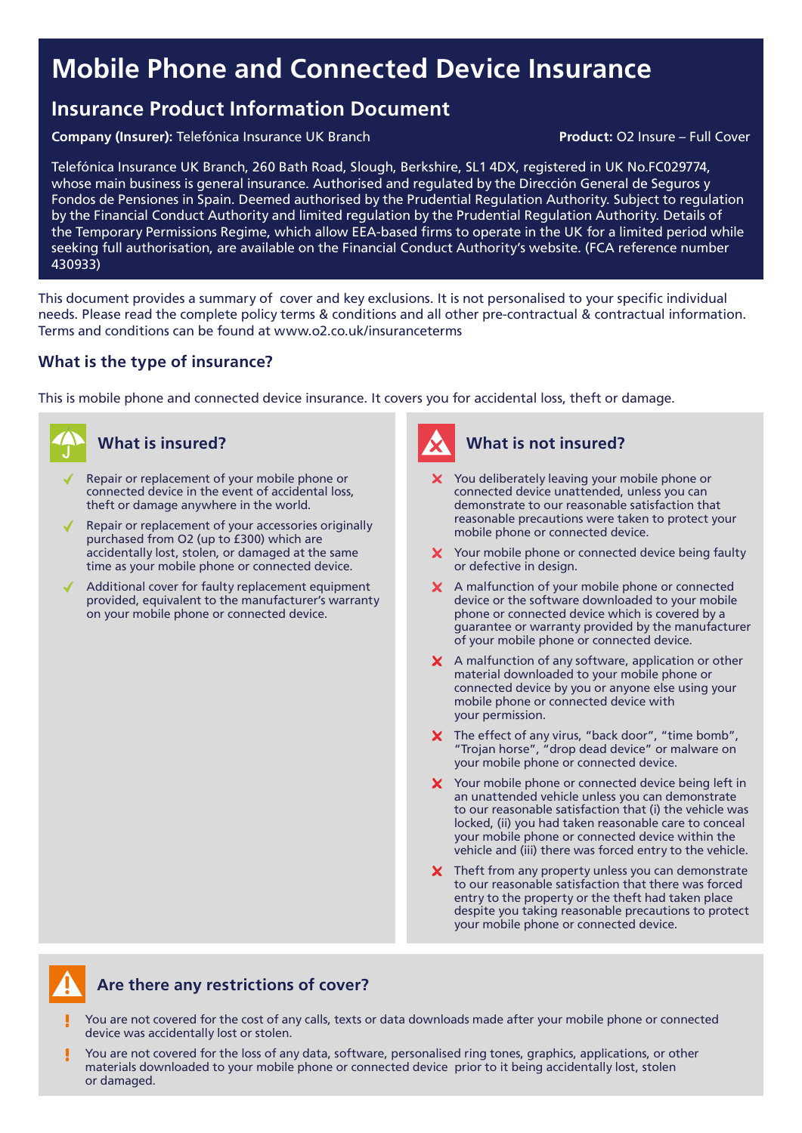# Mobile Phone and Connected Device Insurance

## Insurance Product Information Document

Company (Insurer): Telefónica Insurance UK Branch **Product: O2 Insure – Full Cover** Product: O2 Insure – Full Cover

Repair or replacement of your mobile phone or

Telefónica Insurance UK Branch, 260 Bath Road, Slough, Berkshire, SL1 4DX, registered in UK No.FC029774, whose main business is general insurance. Authorised and regulated by the Dirección General de Seguros y Fondos de Pensiones in Spain. Deemed authorised by the Prudential Regulation Authority. Subject to regulation by the Financial Conduct Authority and limited regulation by the Prudential Regulation Authority. Details of the Temporary Permissions Regime, which allow EEA-based firms to operate in the UK for a limited period while seeking full authorisation, are available on the Financial Conduct Authority's website. (FCA reference number 430933)

This document provides a summary of cover and key exclusions. It is not personalised to your specific individual needs. Please read the complete policy terms & conditions and all other pre-contractual & contractual information. Terms and conditions can be found at www.o2.co.uk/insuranceterms

### What is the type of insurance?

This is mobile phone and connected device insurance. It covers you for accidental loss, theft or damage.





### What is insured? What is not insured?

- X You deliberately leaving your mobile phone or connected device unattended, unless you can demonstrate to our reasonable satisfaction that reasonable precautions were taken to protect your mobile phone or connected device.
- X Your mobile phone or connected device being faulty or defective in design.
- X A malfunction of your mobile phone or connected device or the software downloaded to your mobile phone or connected device which is covered by a guarantee or warranty provided by the manufacturer of your mobile phone or connected device.
- $\boldsymbol{\times}$  A malfunction of any software, application or other material downloaded to your mobile phone or connected device by you or anyone else using your mobile phone or connected device with your permission.
- $\boldsymbol{X}$  The effect of any virus, "back door", "time bomb", "Trojan horse", "drop dead device" or malware on your mobile phone or connected device.
- X Your mobile phone or connected device being left in an unattended vehicle unless you can demonstrate to our reasonable satisfaction that (i) the vehicle was locked, (ii) you had taken reasonable care to conceal your mobile phone or connected device within the vehicle and (iii) there was forced entry to the vehicle.
- X Theft from any property unless you can demonstrate to our reasonable satisfaction that there was forced entry to the property or the theft had taken place despite you taking reasonable precautions to protect your mobile phone or connected device.



### Are there any restrictions of cover?

- You are not covered for the cost of any calls, texts or data downloads made after your mobile phone or connected device was accidentally lost or stolen.
- You are not covered for the loss of any data, software, personalised ring tones, graphics, applications, or other materials downloaded to your mobile phone or connected device prior to it being accidentally lost, stolen or damaged.